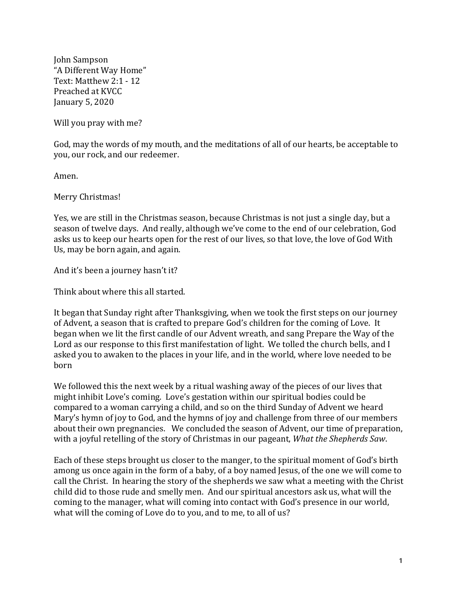John Sampson "A Different Way Home" Text: Matthew 2:1 - 12 Preached at KVCC January 5, 2020

Will you pray with me?

God, may the words of my mouth, and the meditations of all of our hearts, be acceptable to you, our rock, and our redeemer.

Amen.

Merry Christmas!

Yes, we are still in the Christmas season, because Christmas is not just a single day, but a season of twelve days. And really, although we've come to the end of our celebration, God asks us to keep our hearts open for the rest of our lives, so that love, the love of God With Us, may be born again, and again.

And it's been a journey hasn't it?

Think about where this all started.

It began that Sunday right after Thanksgiving, when we took the first steps on our journey of Advent, a season that is crafted to prepare God's children for the coming of Love. It began when we lit the first candle of our Advent wreath, and sang Prepare the Way of the Lord as our response to this first manifestation of light. We tolled the church bells, and I asked you to awaken to the places in your life, and in the world, where love needed to be born

We followed this the next week by a ritual washing away of the pieces of our lives that might inhibit Love's coming. Love's gestation within our spiritual bodies could be compared to a woman carrying a child, and so on the third Sunday of Advent we heard Mary's hymn of joy to God, and the hymns of joy and challenge from three of our members about their own pregnancies. We concluded the season of Advent, our time of preparation, with a joyful retelling of the story of Christmas in our pageant, *What the Shepherds Saw*.

Each of these steps brought us closer to the manger, to the spiritual moment of God's birth among us once again in the form of a baby, of a boy named Jesus, of the one we will come to call the Christ. In hearing the story of the shepherds we saw what a meeting with the Christ child did to those rude and smelly men. And our spiritual ancestors ask us, what will the coming to the manager, what will coming into contact with God's presence in our world, what will the coming of Love do to you, and to me, to all of us?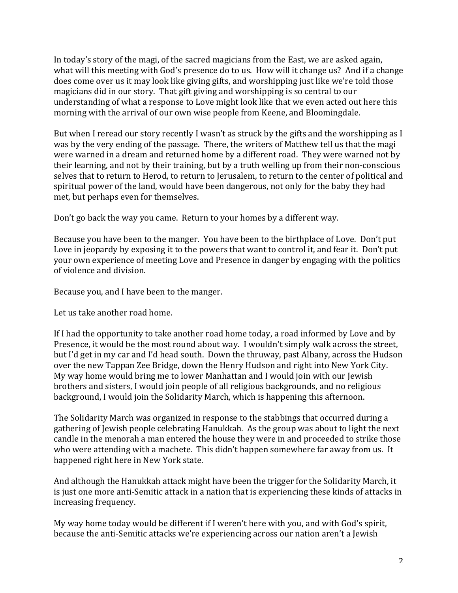In today's story of the magi, of the sacred magicians from the East, we are asked again, what will this meeting with God's presence do to us. How will it change us? And if a change does come over us it may look like giving gifts, and worshipping just like we're told those magicians did in our story. That gift giving and worshipping is so central to our understanding of what a response to Love might look like that we even acted out here this morning with the arrival of our own wise people from Keene, and Bloomingdale.

But when I reread our story recently I wasn't as struck by the gifts and the worshipping as I was by the very ending of the passage. There, the writers of Matthew tell us that the magi were warned in a dream and returned home by a different road. They were warned not by their learning, and not by their training, but by a truth welling up from their non-conscious selves that to return to Herod, to return to Jerusalem, to return to the center of political and spiritual power of the land, would have been dangerous, not only for the baby they had met, but perhaps even for themselves.

Don't go back the way you came. Return to your homes by a different way.

Because you have been to the manger. You have been to the birthplace of Love. Don't put Love in jeopardy by exposing it to the powers that want to control it, and fear it. Don't put your own experience of meeting Love and Presence in danger by engaging with the politics of violence and division.

Because you, and I have been to the manger.

Let us take another road home.

If I had the opportunity to take another road home today, a road informed by Love and by Presence, it would be the most round about way. I wouldn't simply walk across the street, but I'd get in my car and I'd head south. Down the thruway, past Albany, across the Hudson over the new Tappan Zee Bridge, down the Henry Hudson and right into New York City. My way home would bring me to lower Manhattan and I would join with our Jewish brothers and sisters, I would join people of all religious backgrounds, and no religious background, I would join the Solidarity March, which is happening this afternoon.

The Solidarity March was organized in response to the stabbings that occurred during a gathering of Jewish people celebrating Hanukkah. As the group was about to light the next candle in the menorah a man entered the house they were in and proceeded to strike those who were attending with a machete. This didn't happen somewhere far away from us. It happened right here in New York state.

And although the Hanukkah attack might have been the trigger for the Solidarity March, it is just one more anti-Semitic attack in a nation that is experiencing these kinds of attacks in increasing frequency.

My way home today would be different if I weren't here with you, and with God's spirit, because the anti-Semitic attacks we're experiencing across our nation aren't a Jewish